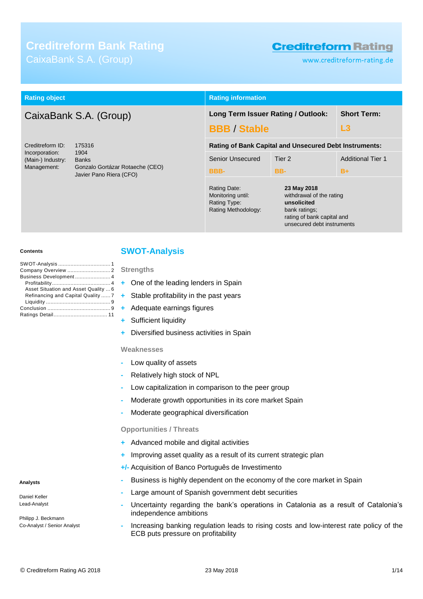# **Creditreform Bank Rating** CaixaBank S.A. (Group)

# **Creditreform Rating**

www.creditreform-rating.de

| <b>Rating object</b>                |                                                                          | <b>Rating information</b>                                                                                                           |                                    |                          |
|-------------------------------------|--------------------------------------------------------------------------|-------------------------------------------------------------------------------------------------------------------------------------|------------------------------------|--------------------------|
| CaixaBank S.A. (Group)              |                                                                          |                                                                                                                                     | Long Term Issuer Rating / Outlook: | <b>Short Term:</b>       |
|                                     |                                                                          | <b>BBB / Stable</b>                                                                                                                 |                                    |                          |
| Creditreform ID:<br>175316          |                                                                          | <b>Rating of Bank Capital and Unsecured Debt Instruments:</b>                                                                       |                                    |                          |
| Incorporation:<br>(Main-) Industry: | 1904<br><b>Banks</b>                                                     | Senior Unsecured                                                                                                                    | Tier 2                             | <b>Additional Tier 1</b> |
| Management:                         | Gonzalo Gortázar Rotaeche (CEO)<br>Javier Pano Riera (CFO)               | <b>BBB-</b>                                                                                                                         | BB-                                | $B+$                     |
|                                     | Rating Date:<br>Monitoring until:<br>Rating Type:<br>Rating Methodology: | 23 May 2018<br>withdrawal of the rating<br>unsolicited<br>bank ratings;<br>rating of bank capital and<br>unsecured debt instruments |                                    |                          |

#### **Contents**

| Business Development 4               |  |
|--------------------------------------|--|
|                                      |  |
| Asset Situation and Asset Quality  6 |  |
| Refinancing and Capital Quality  7   |  |
|                                      |  |
|                                      |  |
|                                      |  |

## <span id="page-0-0"></span>**SWOT-Analysis**

**Strengths**

- **+** One of the leading lenders in Spain
- **+** Stable profitability in the past years
- **+** Adequate earnings figures
- **Sufficient liquidity**
- **+** Diversified business activities in Spain

#### **Weaknesses**

- **-** Low quality of assets
- **-** Relatively high stock of NPL
- **-** Low capitalization in comparison to the peer group
- **-** Moderate growth opportunities in its core market Spain
- **-** Moderate geographical diversification

### **Opportunities / Threats**

- **+** Advanced mobile and digital activities
- **+** Improving asset quality as a result of its current strategic plan
- **+/-** Acquisition of Banco Português de Investimento
- **-** Business is highly dependent on the economy of the core market in Spain
- **-** Large amount of Spanish government debt securities
- **-** Uncertainty regarding the bank's operations in Catalonia as a result of Catalonia's independence ambitions
- **-** Increasing banking regulation leads to rising costs and low-interest rate policy of the ECB puts pressure on profitability

### **Analysts**

Daniel Keller Lead-Analyst

Philipp J. Beckmann Co-Analyst / Senior Analyst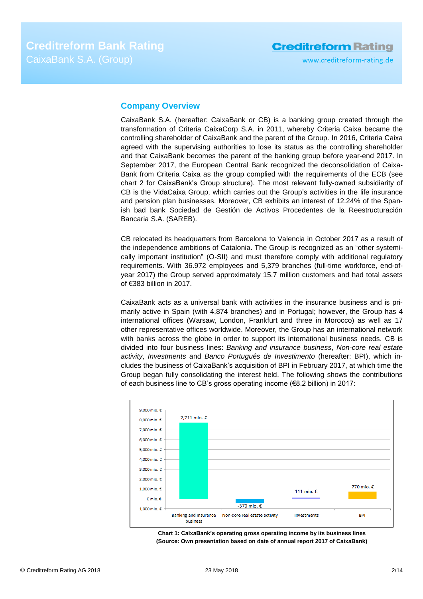## <span id="page-1-0"></span>**Company Overview**

CaixaBank S.A. (hereafter: CaixaBank or CB) is a banking group created through the transformation of Criteria CaixaCorp S.A. in 2011, whereby Criteria Caixa became the controlling shareholder of CaixaBank and the parent of the Group. In 2016, Criteria Caixa agreed with the supervising authorities to lose its status as the controlling shareholder and that CaixaBank becomes the parent of the banking group before year-end 2017. In September 2017, the European Central Bank recognized the deconsolidation of Caixa-Bank from Criteria Caixa as the group complied with the requirements of the ECB (see chart 2 for CaixaBank's Group structure). The most relevant fully-owned subsidiarity of CB is the VidaCaixa Group, which carries out the Group's activities in the life insurance and pension plan businesses. Moreover, CB exhibits an interest of 12.24% of the Spanish bad bank Sociedad de Gestión de Activos Procedentes de la Reestructuración Bancaria S.A. (SAREB).

CB relocated its headquarters from Barcelona to Valencia in October 2017 as a result of the independence ambitions of Catalonia. The Group is recognized as an "other systemically important institution" (O-SII) and must therefore comply with additional regulatory requirements. With 36.972 employees and 5,379 branches (full-time workforce, end-ofyear 2017) the Group served approximately 15.7 million customers and had total assets of €383 billion in 2017.

CaixaBank acts as a universal bank with activities in the insurance business and is primarily active in Spain (with 4,874 branches) and in Portugal; however, the Group has 4 international offices (Warsaw, London, Frankfurt and three in Morocco) as well as 17 other representative offices worldwide. Moreover, the Group has an international network with banks across the globe in order to support its international business needs. CB is divided into four business lines: *Banking and insurance business*, *Non-core real estate activity*, *Investments* and *Banco Português de Investimento* (hereafter: BPI), which includes the business of CaixaBank's acquisition of BPI in February 2017, at which time the Group began fully consolidating the interest held. The following shows the contributions of each business line to CB's gross operating income (€8.2 billion) in 2017:



**Chart 1: CaixaBank's operating gross operating income by its business lines (Source: Own presentation based on date of annual report 2017 of CaixaBank)**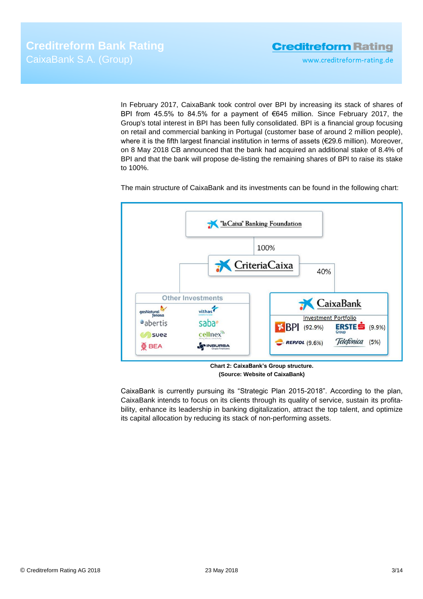www.creditreform-rating.de

In February 2017, CaixaBank took control over BPI by increasing its stack of shares of BPI from 45.5% to 84.5% for a payment of €645 million. Since February 2017, the Group's total interest in BPI has been fully consolidated. BPI is a financial group focusing on retail and commercial banking in Portugal (customer base of around 2 million people), where it is the fifth largest financial institution in terms of assets (€29.6 million). Moreover, on 8 May 2018 CB announced that the bank had acquired an additional stake of 8.4% of BPI and that the bank will propose de-listing the remaining shares of BPI to raise its stake to 100%.

The main structure of CaixaBank and its investments can be found in the following chart:



**Chart 2: CaixaBank's Group structure. (Source: Website of CaixaBank)**

CaixaBank is currently pursuing its "Strategic Plan 2015-2018". According to the plan, CaixaBank intends to focus on its clients through its quality of service, sustain its profitability, enhance its leadership in banking digitalization, attract the top talent, and optimize its capital allocation by reducing its stack of non-performing assets.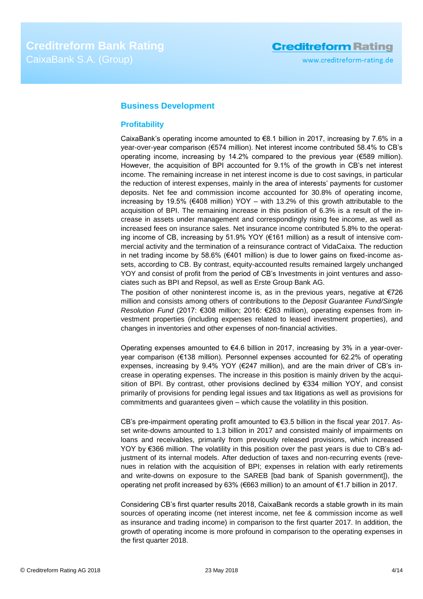## <span id="page-3-0"></span>**Business Development**

## <span id="page-3-1"></span>**Profitability**

CaixaBank's operating income amounted to €8.1 billion in 2017, increasing by 7.6% in a year-over-year comparison (€574 million). Net interest income contributed 58.4% to CB's operating income, increasing by 14.2% compared to the previous year (€589 million). However, the acquisition of BPI accounted for 9.1% of the growth in CB's net interest income. The remaining increase in net interest income is due to cost savings, in particular the reduction of interest expenses, mainly in the area of interests' payments for customer deposits. Net fee and commission income accounted for 30.8% of operating income, increasing by 19.5% ( $\epsilon$ 408 million) YOY – with 13.2% of this growth attributable to the acquisition of BPI. The remaining increase in this position of 6.3% is a result of the increase in assets under management and correspondingly rising fee income, as well as increased fees on insurance sales. Net insurance income contributed 5.8% to the operating income of CB, increasing by 51.9% YOY (€161 million) as a result of intensive commercial activity and the termination of a reinsurance contract of VidaCaixa. The reduction in net trading income by 58.6% ( $\epsilon$ 401 million) is due to lower gains on fixed-income assets, according to CB. By contrast, equity-accounted results remained largely unchanged YOY and consist of profit from the period of CB's Investments in joint ventures and associates such as BPI and Repsol, as well as Erste Group Bank AG.

The position of other noninterest income is, as in the previous years, negative at  $\epsilon$ 726 million and consists among others of contributions to the *Deposit Guarantee Fund/Single Resolution Fund* (2017: €308 million; 2016: €263 million), operating expenses from investment properties (including expenses related to leased investment properties), and changes in inventories and other expenses of non-financial activities.

Operating expenses amounted to  $\epsilon$ 4.6 billion in 2017, increasing by 3% in a year-overyear comparison (€138 million). Personnel expenses accounted for 62.2% of operating expenses, increasing by 9.4% YOY ( $E$ 247 million), and are the main driver of CB's increase in operating expenses. The increase in this position is mainly driven by the acquisition of BPI. By contrast, other provisions declined by €334 million YOY, and consist primarily of provisions for pending legal issues and tax litigations as well as provisions for commitments and guarantees given – which cause the volatility in this position.

CB's pre-impairment operating profit amounted to  $€3.5$  billion in the fiscal year 2017. Asset write-downs amounted to 1.3 billion in 2017 and consisted mainly of impairments on loans and receivables, primarily from previously released provisions, which increased YOY by €366 million. The volatility in this position over the past years is due to CB's adjustment of its internal models. After deduction of taxes and non-recurring events (revenues in relation with the acquisition of BPI; expenses in relation with early retirements and write-downs on exposure to the SAREB [bad bank of Spanish government]), the operating net profit increased by 63% (€663 million) to an amount of €1.7 billion in 2017.

Considering CB's first quarter results 2018, CaixaBank records a stable growth in its main sources of operating income (net interest income, net fee & commission income as well as insurance and trading income) in comparison to the first quarter 2017. In addition, the growth of operating income is more profound in comparison to the operating expenses in the first quarter 2018.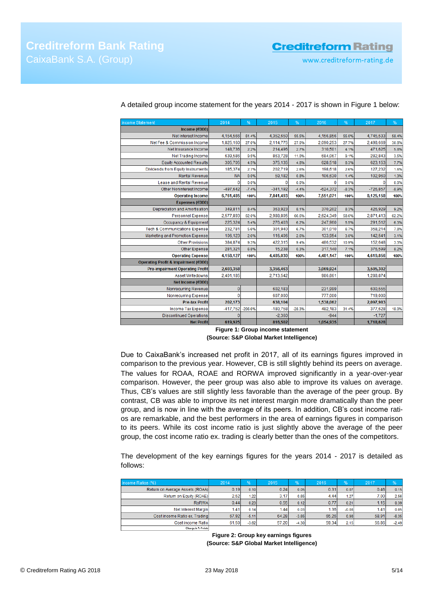**Creditreform Rating** 

www.creditreform-rating.de

| <b>Income Statement</b>                  | 2014       | %         | 2015       | %        | 2016       | %       | 2017       | %       |
|------------------------------------------|------------|-----------|------------|----------|------------|---------|------------|---------|
| Income $(6000)$                          |            |           |            |          |            |         |            |         |
| Net Interest Income                      | 4,154,566  | 61.4%     | 4,352,650  | 55.5%    | 4,156,856  | 55.0%   | 4,745,533  | 58.4%   |
| Net Fee & Commission Income              | 1,825,160  | 27.0%     | 2,114,775  | 27.0%    | 2,090,253  | 27.7%   | 2,498,669  | 30.8%   |
| Net Insurance Income                     | 148,736    | 2.2%      | 214,496    | 2.7%     | 310,501    | 4.1%    | 471,625    | 5.8%    |
| <b>Net Trading Income</b>                | 639,586    | 9.5%      | 863,728    | 11.0%    | 684,067    | 9.1%    | 282,843    | 3.5%    |
| <b>Equity Accounted Results</b>          | 305,705    | 4.5%      | 375,135    | 4.8%     | 628,518    | 8.3%    | 623,153    | 7.7%    |
| Dividends from Equity Instruments        | 185,374    | 2.7%      | 202,719    | 2.6%     | 198,618    | 2.6%    | 127,232    | 1.6%    |
| <b>Rental Revenue</b>                    | <b>NA</b>  | 0.0%      | 59,182     | 0.8%     | 106,630    | 1.4%    | 102,960    | 1.3%    |
| Lease and Rental Revenue                 | $\Omega$   | 0.0%      | $\Omega$   | 0.0%     | $\Omega$   | 0.0%    | $\Omega$   | 0.0%    |
| <b>Other Noninterest Income</b>          | $-497,642$ | $-7.4%$   | $-341,192$ | $-4.4%$  | $-624,372$ | $-8.3%$ | $-726,857$ | $-8.9%$ |
| <b>Operating Income</b>                  | 6,761,485  | 100%      | 7,841,493  | 100%     | 7,551,071  | 100%    | 8,125,158  | 100%    |
| Expenses (€000)                          |            |           |            |          |            |         |            |         |
| Depreciation and Amortisation            | 349,811    | 8.4%      | 363,923    | 8.1%     | 370,202    | 8.3%    | 426,929    | 9.2%    |
| <b>Personnel Expense</b>                 | 2,577,893  | 62.0%     | 2,988,805  | 66.6%    | 2,624,349  | 58.6%   | 2,871,413  | 62.2%   |
| Occupancy & Equipment                    | 225,324    | 5.4%      | 276,403    | 6.2%     | 247,960    | 5.5%    | 291,512    | 6.3%    |
| <b>Tech &amp; Communications Expense</b> | 232,781    | 5.6%      | 301,940    | 6.7%     | 301,010    | 6.7%    | 358,214    | 7.8%    |
| Marketing and Promotion Expense          | 106,123    | 2.6%      | 116,406    | 2.6%     | 133,954    | 3.0%    | 142,541    | 3.1%    |
| <b>Other Provisions</b>                  | 384,874    | 9.3%      | 422,315    | 9.4%     | 486,532    | 10.9%   | 152,648    | 3.3%    |
| Other Expense                            | 281,321    | 6.8%      | 15,238     | 0.3%     | 317,140    | 7.1%    | 376,599    | 8.2%    |
| <b>Operating Expense</b>                 | 4,158,127  | 100%      | 4,485,030  | 100%     | 4,481,147  | 100%    | 4,619,856  | 100%    |
| Operating Profit & Impairment (€000)     |            |           |            |          |            |         |            |         |
| <b>Pre-impairment Operating Profit</b>   | 2,603,358  |           | 3,356,463  |          | 3,069,924  |         | 3,505,302  |         |
| Asset Writedowns                         | 2,401,185  |           | 2,713,542  |          | 986,861    |         | 1,288,874  |         |
| Net Income (€000)                        |            |           |            |          |            |         |            |         |
| Nonrecurring Revenue                     | $\bf{0}$   |           | 602,183    |          | 231,999    |         | 600,555    |         |
| <b>Nonrecurring Expense</b>              | 0          |           | 607,000    |          | 777,000    |         | 719,000    |         |
| <b>Pre-tax Profit</b>                    | 202,173    |           | 638,104    |          | 1,538,062  |         | 2,097,983  |         |
| Income Tax Expense                       | $-417,752$ | $-206.6%$ | $-180,758$ | $-28.3%$ | 482,183    | 31.4%   | 377,628    | 18.0%   |
| <b>Discontinued Operations</b>           | $\Omega$   |           | $-2,360$   |          | $-944$     |         | $-1,727$   |         |
| <b>Net Profit</b>                        | 619,925    |           | 816,502    |          | 1,054,935  |         | 1,718,628  |         |

A detailed group income statement for the years 2014 - 2017 is shown in Figure 1 below:

**Figure 1: Group income statement (Source: S&P Global Market Intelligence)**

Due to CaixaBank's increased net profit in 2017, all of its earnings figures improved in comparison to the previous year. However, CB is still slightly behind its peers on average. The values for ROAA, ROAE and RORWA improved significantly in a year-over-year comparison. However, the peer group was also able to improve its values on average. Thus, CB's values are still slightly less favorable than the average of the peer group. By contrast, CB was able to improve its net interest margin more dramatically than the peer group, and is now in line with the average of its peers. In addition, CB's cost income ratios are remarkable, and the best performers in the area of earnings figures in comparison to its peers. While its cost income ratio is just slightly above the average of the peer group, the cost income ratio ex. trading is clearly better than the ones of the competitors.

The development of the key earnings figures for the years 2014 - 2017 is detailed as follows:

| Income Ratios (%)               | 2014  | %       | 2015  | %       | 2016  | %       | 2017  | %       |
|---------------------------------|-------|---------|-------|---------|-------|---------|-------|---------|
| Return on Average Assets (ROAA) | 0.19  | 0.10    | 0.24  | 0.05    | 0.31  | 0.07    | 0.46  | 0.15    |
| Return on Equity (ROAE)         | 2.52  | 1.22    | 3.17  | 0.65    | 4.44  | 1.27    | 7.00  | 2.56    |
| RoRWA                           | 0.44  | 0.23    | 0.55  | 0.12    | 0.77  | 0.21    | 1.15  | 0.39    |
| Net Interest Margin             | 1.41  | 0.14    | 1.44  | 0.03    | 1.36  | $-0.08$ | 1.41  | 0.05    |
| Cost income Ratio ex. Trading   | 67.92 | $-5.11$ | 64.28 | $-3.65$ | 65.26 | 0.98    | 58.91 | $-6.35$ |
| Cost income Ratio               | 61.50 | $-3.62$ | 57.20 | $-4.30$ | 59.34 | 2.15    | 56.86 | $-2.49$ |
| Change in S-Reintell            |       |         |       |         |       |         |       |         |

**Figure 2: Group key earnings figures (Source: S&P Global Market Intelligence)**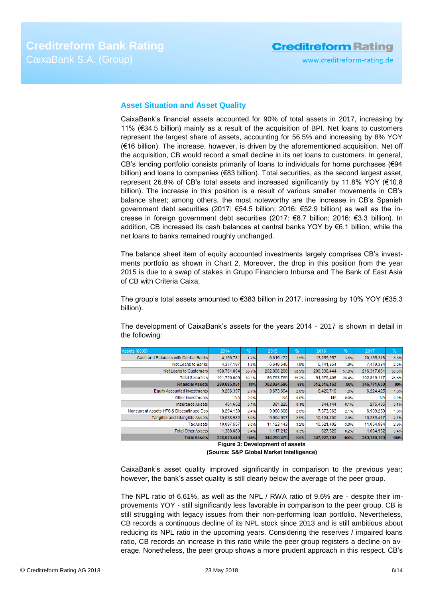# **Creditreform Rating**

## <span id="page-5-0"></span>**Asset Situation and Asset Quality**

CaixaBank's financial assets accounted for 90% of total assets in 2017, increasing by 11% (€34.5 billion) mainly as a result of the acquisition of BPI. Net loans to customers represent the largest share of assets, accounting for 56.5% and increasing by 8% YOY (€16 billion). The increase, however, is driven by the aforementioned acquisition. Net off the acquisition, CB would record a small decline in its net loans to customers. In general, CB's lending portfolio consists primarily of loans to individuals for home purchases (€94 billion) and loans to companies (€83 billion). Total securities, as the second largest asset, represent 26.8% of CB's total assets and increased significantly by 11.8% YOY (€10.8 billion). The increase in this position is a result of various smaller movements in CB's balance sheet; among others, the most noteworthy are the increase in CB's Spanish government debt securities (2017: €54.5 billion; 2016: €52.9 billion) as well as the increase in foreign government debt securities (2017: €8.7 billion; 2016: €3.3 billion). In addition, CB increased its cash balances at central banks YOY by €6.1 billion, while the net loans to banks remained roughly unchanged.

The balance sheet item of equity accounted investments largely comprises CB's investments portfolio as shown in Chart 2. Moreover, the drop in this position from the year 2015 is due to a swap of stakes in Grupo Financiero Inbursa and The Bank of East Asia of CB with Criteria Caixa.

The group's total assets amounted to  $\epsilon$ 383 billion in 2017, increasing by 10% YOY ( $\epsilon$ 35.3 billion).

The development of CaixaBank's assets for the years 2014 - 2017 is shown in detail in the following:

| Assets (€000)                            | 2014        | %     | 2015        | %     | 2016        | %     | 2017        | %     |
|------------------------------------------|-------------|-------|-------------|-------|-------------|-------|-------------|-------|
| Cash and Balances with Central Banks     | 4,156,781   | 1.2%  | 6,615,172   | 1.9%  | 13,259,957  | 3.8%  | 20,155,318  | 5.3%  |
| Net Loans to Banks                       | 4.377.197   | 1.3%  | 6.649.545   | 1.9%  | 6.741.354   | 1.9%  | 7.479.334   | 2.0%  |
| Net Loans to Customers                   | 188.761.864 | 55.7% | 202.896.200 | 58.9% | 200.338.444 | 57.6% | 216.317.861 | 56.5% |
| <b>Total Securities</b>                  | 101.790.009 | 30.1% | 86,763,769  | 25.2% | 91.976.408  | 26.4% | 102.819.117 | 26.8% |
| <b>Financial Assets</b>                  | 299.085.851 | 88%   | 302.924.686 | 88%   | 312,316,163 | 90%   | 346.771.630 | 90%   |
| <b>Equity Accounted Investments</b>      | 9.266.397   | 2.7%  | 9,673,694   | 2.8%  | 6.420.710   | 1.8%  | 6,224,425   | 1.6%  |
| Other Investments                        | <b>NA</b>   | 0.0%  | <b>NA</b>   | 0.0%  | <b>NA</b>   | 0.0%  | <b>NA</b>   | 0.0%  |
| <b>Insurance Assets</b>                  | 451.652     | 0.1%  | 391.225     | 0.1%  | 344.144     | 0.1%  | 275.495     | 0.1%  |
| Noncurrent Assets HFS & Discontinued Ops | 8.294.130   | 2.4%  | 9.060.608   | 2.6%  | 7.373.063   | 2.1%  | 6.909.250   | 1.8%  |
| Tangible and Intangible Assets           | 10.038.982  | 3.0%  | 9.964.907   | 2.9%  | 10,124,260  | 2.9%  | 10,285,417  | 2.7%  |
| <b>Tax Assets</b>                        | 10.097.557  | 3.0%  | 11.123.143  | 3.2%  | 10.521.402  | 3.0%  | 11.054.984  | 2.9%  |
| <b>Total Other Assets</b>                | 1.388.880   | 0.4%  | 1.117.212   | 0.3%  | 827,520     | 0.2%  | 1.664.962   | 0.4%  |
| <b>Total Assets</b>                      | 338.623.449 | 100%  | 344.255.475 | 100%  | 347.927.262 | 100%  | 383.186.163 | 100%  |

**Figure 3: Development of assets (Source: S&P Global Market Intelligence)**

CaixaBank's asset quality improved significantly in comparison to the previous year; however, the bank's asset quality is still clearly below the average of the peer group.

The NPL ratio of 6.61%, as well as the NPL / RWA ratio of 9.6% are - despite their improvements YOY - still significantly less favorable in comparison to the peer group. CB is still struggling with legacy issues from their non-performing loan portfolio. Nevertheless, CB records a continuous decline of its NPL stock since 2013 and is still ambitious about reducing its NPL ratio in the upcoming years. Considering the reserves / impaired loans ratio, CB records an increase in this ratio while the peer group registers a decline on average. Nonetheless, the peer group shows a more prudent approach in this respect. CB's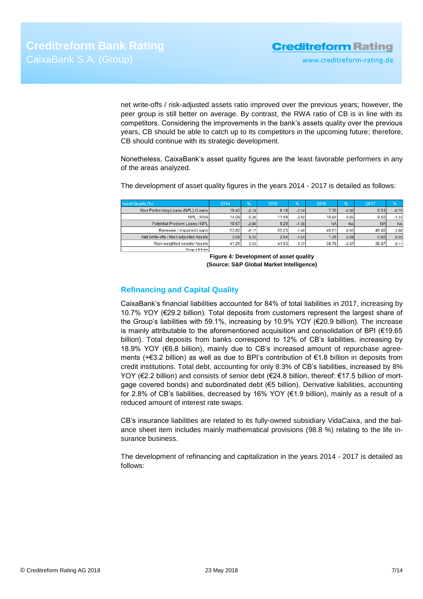www.creditreform-rating.de

net write-offs / risk-adjusted assets ratio improved over the previous years; however, the peer group is still better on average. By contrast, the RWA ratio of CB is in line with its competitors. Considering the improvements in the bank's assets quality over the previous years, CB should be able to catch up to its competitors in the upcoming future; therefore, CB should continue with its strategic development.

Nonetheless, CaixaBank's asset quality figures are the least favorable performers in any of the areas analyzed.

The development of asset quality figures in the years 2014 - 2017 is detailed as follows:

| Asset-Quality (%)                     | 2014  | $\frac{1}{2}$ | 2015  | $\frac{9}{6}$ | 2016      | $\overline{96}$ | 2017       | %         |
|---------------------------------------|-------|---------------|-------|---------------|-----------|-----------------|------------|-----------|
| Non Performing Loans (NPL) / Loans    | 10.43 | $-2.18$       | 8.18  | $-2.24$       | 7.36      | $-0.82$         | 6.61       | $-0.75$   |
| NPL / RWA                             | 14.09 | $-5.26$       | 11.59 | $-2.50$       | 10.94     | $-0.65$         | 9.60       | $-1.34$   |
| Potential Problem Loans / NPL         | 10.67 | $-2.86$       | 9.29  | $-1.38$       | <b>NA</b> | <b>NA</b>       | <b>NAI</b> | <b>NA</b> |
| Reserves / Impaired Loans             | 53.82 | $-6.17$       | 55.23 | 1.40          | 46.61     | $-8.62$         | 49.40      | 2.80      |
| Net Write-offs / Risk-adjusted Assets | 3.08  | 0.33          | 2.04  | $-1.04$       | 1.35      | $-0.69$         | 0.80       | $-0.55$   |
| Risk-weighted Assets/Assets           | 41.26 | 3.33          | 41.63 | 0.37          | 38.76     | $-2.87$         | 38.87      | 0.11      |
| Change in 2-Points                    |       |               |       |               |           |                 |            |           |

**Figure 4: Development of asset quality (Source: S&P Global Market Intelligence)**

## <span id="page-6-0"></span>**Refinancing and Capital Quality**

CaixaBank's financial liabilities accounted for 84% of total liabilities in 2017, increasing by 10.7% YOY (€29.2 billion). Total deposits from customers represent the largest share of the Group's liabilities with 59.1%, increasing by 10.9% YOY (€20.9 billion). The increase is mainly attributable to the aforementioned acquisition and consolidation of BPI (€19.65 billion). Total deposits from banks correspond to 12% of CB's liabilities, increasing by 18.9% YOY (€6.8 billion), mainly due to CB's increased amount of repurchase agreements (+€3.2 billion) as well as due to BPI's contribution of €1.8 billion in deposits from credit institutions. Total debt, accounting for only 8.3% of CB's liabilities, increased by 8% YOY (€2.2 billion) and consists of senior debt (€24.8 billion, thereof: €17.5 billion of mortgage covered bonds) and subordinated debt (€5 billion). Derivative liabilities, accounting for 2.8% of CB's liabilities, decreased by 16% YOY (€1.9 billion), mainly as a result of a reduced amount of interest rate swaps.

CB's insurance liabilities are related to its fully-owned subsidiary VidaCaixa, and the balance sheet item includes mainly mathematical provisions (98.8 %) relating to the life insurance business.

The development of refinancing and capitalization in the years 2014 - 2017 is detailed as follows: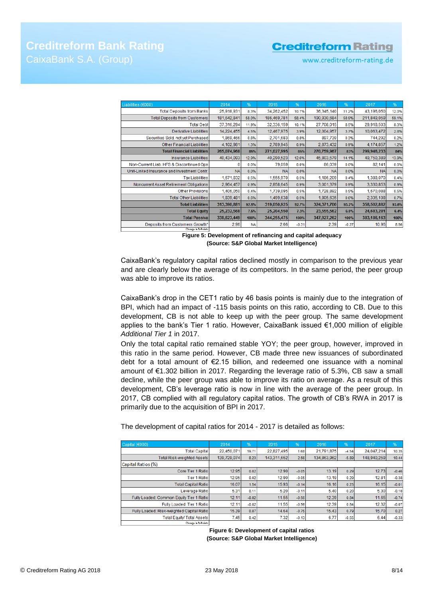# **Creditreform Bank Rating** CaixaBank S.A. (Group)

# **Creditreform Rating**

www.creditreform-rating.de

| Liabilities (€000)                          | 2014        | $\frac{9}{6}$ | 2015        | %       | 2016        | %       | 2017        | %     |
|---------------------------------------------|-------------|---------------|-------------|---------|-------------|---------|-------------|-------|
| <b>Total Deposits from Banks</b>            | 25,918,931  | 8.3%          | 34,262,452  | 10.7%   | 36,345,140  | 11.2%   | 43,196,050  | 12.0% |
| <b>Total Deposits from Customers</b>        | 181,642,841 | 58.0%         | 186,469,781 | 58.4%   | 190,930,684 | 58.9%   | 211,849,059 | 59.1% |
| <b>Total Debt</b>                           | 37,316,294  | 11.9%         | 32,336,159  | 10.1%   | 27.708.015  | 8.5%    | 29,918,503  | 8.3%  |
| Derivative Liabilities                      | 14,224,455  | 4.5%          | 12,467,975  | 3.9%    | 12,004,957  | 3.7%    | 10.063.472  | 2.8%  |
| Securities Sold, not yet Purchased          | 1,869,466   | 0.6%          | 2,701,683   | 0.8%    | 897,739     | 0.3%    | 744,292     | 0.2%  |
| <b>Other Financial Liabilities</b>          | 4,102,981   | 1.3%          | 2,789,945   | 0.9%    | 2,873,432   | 0.9%    | 4,174,857   | 1.2%  |
| <b>Total Financial Liabilities</b>          | 265,074,968 | 85%           | 271,027,995 | 85%     | 270,759,967 | 83%     | 299,946,233 | 84%   |
| <b>Insurance Liabilities</b>                | 40,434,093  | 12.9%         | 40,290,523  | 12.6%   | 45,803,579  | 14.1%   | 49,750,389  | 13.9% |
| Non-Current Liab. HFS & Discontinued Ops    |             | 0.0%          | 79,059      | 0.0%    | 86,039      | 0.0%    | 82,141      | 0.0%  |
| Unit-Linked Insurance and Investment Contr. | <b>NA</b>   | 0.0%          | <b>NA</b>   | 0.0%    | <b>NA</b>   | 0.0%    | <b>NA</b>   | 0.0%  |
| <b>Tax Liabilities</b>                      | 1,671,832   | 0.5%          | 1,555,970   | 0.5%    | 1,186,209   | 0.4%    | 1,388,070   | 0.4%  |
| Noncurrent Asset Retirement Obligations     | 2,964,457   | 0.9%          | 2,858,645   | 0.9%    | 3,001,379   | 0.9%    | 3,330,853   | 0.9%  |
| <b>Other Provisions</b>                     | 1.406.050   | 0.4%          | 1,739,095   | 0.5%    | 1,728,892   | 0.5%    | 1,670,088   | 0.5%  |
| <b>Total Other Liabilities</b>              | 1.839.481   | 0.6%          | 1,499,638   | 0.5%    | 1,805,635   | 0.6%    | 2,335,108   | 0.7%  |
| <b>Total Liabilities</b>                    | 313,390,881 | 92.5%         | 319,050,925 | 92.7%   | 324,371,700 | 93.2%   | 358,502,882 | 93.6% |
| <b>Total Equity</b>                         | 25,232,568  | 7.5%          | 25,204,550  | 7.3%    | 23,555,562  | 6.8%    | 24,683,281  | 6.4%  |
| <b>Total Passival</b>                       | 338,623,449 | 100%          | 344,255,475 | 100%    | 347,927,262 | 100%    | 383,186,163 | 100%  |
| Deposits from Customers Growth*             | 2.96        | <b>NA</b>     | 2.66        | $-0.31$ | 2.39        | $-0.27$ | 10.96       | 8.56  |
| Change in 2-Points                          |             |               |             |         |             |         |             |       |

**Figure 5: Development of refinancing and capital adequacy (Source: S&P Global Market Intelligence)**

CaixaBank's regulatory capital ratios declined mostly in comparison to the previous year and are clearly below the average of its competitors. In the same period, the peer group was able to improve its ratios.

CaixaBank's drop in the CET1 ratio by 46 basis points is mainly due to the integration of BPI, which had an impact of -115 basis points on this ratio, according to CB. Due to this development, CB is not able to keep up with the peer group. The same development applies to the bank's Tier 1 ratio. However, CaixaBank issued €1,000 million of eligible *Additional Tier 1* in 2017.

Only the total capital ratio remained stable YOY; the peer group, however, improved in this ratio in the same period. However, CB made three new issuances of subordinated debt for a total amount of €2.15 billion, and redeemed one issuance with a nominal amount of €1.302 billion in 2017. Regarding the leverage ratio of 5.3%, CB saw a small decline, while the peer group was able to improve its ratio on average. As a result of this development, CB's leverage ratio is now in line with the average of the peer group. In 2017, CB complied with all regulatory capital ratios. The growth of CB's RWA in 2017 is primarily due to the acquisition of BPI in 2017.

The development of capital ratios for 2014 - 2017 is detailed as follows:

| Capital (€000)                            | 2014        | %       | 2015        | %       | 2016        | %       | 2017        | %       |
|-------------------------------------------|-------------|---------|-------------|---------|-------------|---------|-------------|---------|
| <b>Total Capital</b>                      | 22.450.071  | 19.71   | 22.827.495  | 1.68    | 21.791.875  | $-4.54$ | 24.047.214  | 10.35   |
| <b>Total Risk-weighted Assets</b>         | 139.729.074 | 8.23    | 143.311.652 | 2.56    | 134.863.962 | $-5.89$ | 148,940,259 | 10.44   |
| Capital Ratios (%)                        |             |         |             |         |             |         |             |         |
| Core Tier 1 Ratio                         | 12.95       | 0.02    | 12.90       | $-0.05$ | 13.19       | 0.29    | 12.73       | $-0.46$ |
| <b>Tier 1 Ratio</b>                       | 12.95       | 0.02    | 12.90       | $-0.05$ | 13.19       | 0.29    | 12.81       | $-0.38$ |
| <b>Total Capital Ratio</b>                | 16.07       | 1.54    | 15.93       | $-0.14$ | 16.16       | 0.23    | 16.15       | $-0.01$ |
| Leverage Ratio                            | 5.31        | 0.11    | 5.20        | $-0.11$ | 5.40        | 0.20    | 5.30        | $-0.10$ |
| Fully Loaded: Common Equity Tier 1 Ratio  | 12.11       | $-0.82$ | 11.55       | $-0.56$ | 12.39       | 0.84    | 11.65       | $-0.74$ |
| Fully Loaded: Tier 1 Ratio                | 12.11       | $-0.82$ | 11.55       | $-0.56$ | 12.39       | 0.84    | 12.32       | $-0.07$ |
| Fully Loaded: Risk-weighted Capital Ratio | 15.39       | 0.87    | 14.64       | $-0.75$ | 15.43       | 0.79    | 15.70       | 0.27    |
| <b>Total Equity/ Total Assets</b>         | 7.45        | 0.42    | 7.32        | $-0.13$ | 6.77        | $-0.55$ | 6.44        | $-0.33$ |
| Change in %-Points                        |             |         |             |         |             |         |             |         |

**Figure 6: Development of capital ratios (Source: S&P Global Market Intelligence)**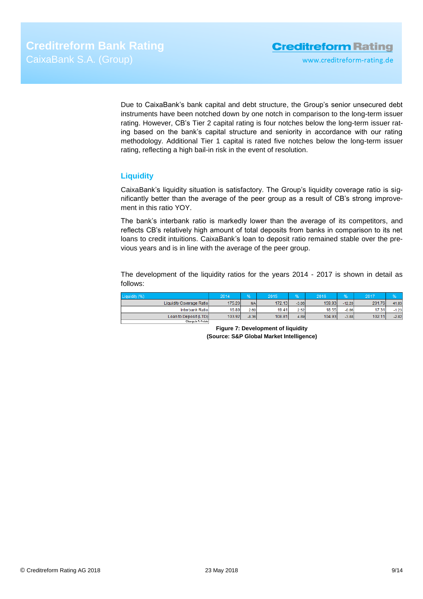www.creditreform-rating.de

Due to CaixaBank's bank capital and debt structure, the Group's senior unsecured debt instruments have been notched down by one notch in comparison to the long-term issuer rating. However, CB's Tier 2 capital rating is four notches below the long-term issuer rating based on the bank's capital structure and seniority in accordance with our rating methodology. Additional Tier 1 capital is rated five notches below the long-term issuer rating, reflecting a high bail-in risk in the event of resolution.

## <span id="page-8-0"></span>**Liquidity**

CaixaBank's liquidity situation is satisfactory. The Group's liquidity coverage ratio is significantly better than the average of the peer group as a result of CB's strong improvement in this ratio YOY.

The bank's interbank ratio is markedly lower than the average of its competitors, and reflects CB's relatively high amount of total deposits from banks in comparison to its net loans to credit intuitions. CaixaBank's loan to deposit ratio remained stable over the previous years and is in line with the average of the peer group.

The development of the liquidity ratios for the years 2014 - 2017 is shown in detail as follows:

<span id="page-8-1"></span>

| Liquidity (%)            | 2014   | %         | 2015   |         | 2016   |          | 2017   |         |
|--------------------------|--------|-----------|--------|---------|--------|----------|--------|---------|
| Liquidity Coverage Ratio | 175.20 | <b>NA</b> | 172.13 | $-3.06$ | 159.93 | $-12.20$ | 201.76 | 41.83   |
| Interbank Ratio          | 16.89  | 2.60      | 19.41  | 2.52    | 18.55  | $-0.86$  | 17.31  | $-1.23$ |
| Loan to Deposit (LTD)    | 103.92 | $-8.36$   | 108.81 | 4.89    | 104.93 | $-3.88$  | 102.11 | $-2.82$ |
| Change in & Points       |        |           |        |         |        |          |        |         |

**Figure 7: Development of liquidity (Source: S&P Global Market Intelligence)**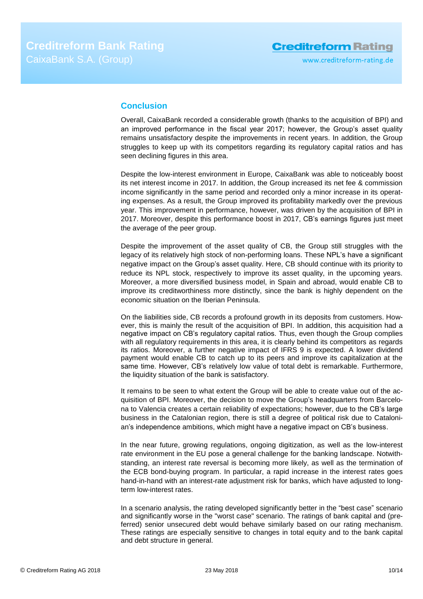## **Conclusion**

Overall, CaixaBank recorded a considerable growth (thanks to the acquisition of BPI) and an improved performance in the fiscal year 2017; however, the Group's asset quality remains unsatisfactory despite the improvements in recent years. In addition, the Group struggles to keep up with its competitors regarding its regulatory capital ratios and has seen declining figures in this area.

Despite the low-interest environment in Europe, CaixaBank was able to noticeably boost its net interest income in 2017. In addition, the Group increased its net fee & commission income significantly in the same period and recorded only a minor increase in its operating expenses. As a result, the Group improved its profitability markedly over the previous year. This improvement in performance, however, was driven by the acquisition of BPI in 2017. Moreover, despite this performance boost in 2017, CB's earnings figures just meet the average of the peer group.

Despite the improvement of the asset quality of CB, the Group still struggles with the legacy of its relatively high stock of non-performing loans. These NPL's have a significant negative impact on the Group's asset quality. Here, CB should continue with its priority to reduce its NPL stock, respectively to improve its asset quality, in the upcoming years. Moreover, a more diversified business model, in Spain and abroad, would enable CB to improve its creditworthiness more distinctly, since the bank is highly dependent on the economic situation on the Iberian Peninsula.

On the liabilities side, CB records a profound growth in its deposits from customers. However, this is mainly the result of the acquisition of BPI. In addition, this acquisition had a negative impact on CB's regulatory capital ratios. Thus, even though the Group complies with all regulatory requirements in this area, it is clearly behind its competitors as regards its ratios. Moreover, a further negative impact of IFRS 9 is expected. A lower dividend payment would enable CB to catch up to its peers and improve its capitalization at the same time. However, CB's relatively low value of total debt is remarkable. Furthermore, the liquidity situation of the bank is satisfactory.

It remains to be seen to what extent the Group will be able to create value out of the acquisition of BPI. Moreover, the decision to move the Group's headquarters from Barcelona to Valencia creates a certain reliability of expectations; however, due to the CB's large business in the Catalonian region, there is still a degree of political risk due to Catalonian's independence ambitions, which might have a negative impact on CB's business.

In the near future, growing regulations, ongoing digitization, as well as the low-interest rate environment in the EU pose a general challenge for the banking landscape. Notwithstanding, an interest rate reversal is becoming more likely, as well as the termination of the ECB bond-buying program. In particular, a rapid increase in the interest rates goes hand-in-hand with an interest-rate adjustment risk for banks, which have adjusted to longterm low-interest rates.

In a scenario analysis, the rating developed significantly better in the "best case" scenario and significantly worse in the "worst case" scenario. The ratings of bank capital and (preferred) senior unsecured debt would behave similarly based on our rating mechanism. These ratings are especially sensitive to changes in total equity and to the bank capital and debt structure in general.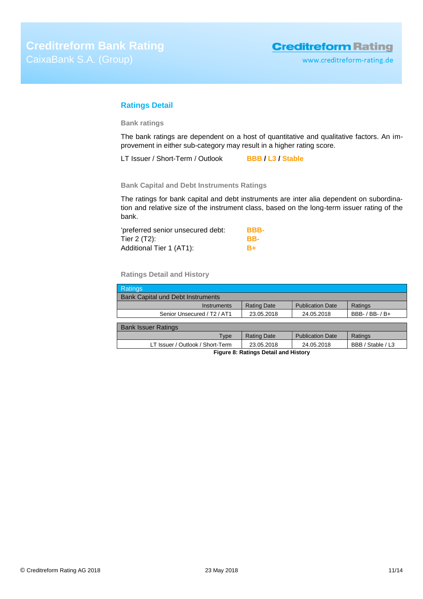## <span id="page-10-0"></span>**Ratings Detail**

**Bank ratings**

The bank ratings are dependent on a host of quantitative and qualitative factors. An improvement in either sub-category may result in a higher rating score.

LT Issuer / Short-Term / Outlook **BBB / L3 / Stable**

**Bank Capital and Debt Instruments Ratings**

The ratings for bank capital and debt instruments are inter alia dependent on subordination and relative size of the instrument class, based on the long-term issuer rating of the bank.

| 'preferred senior unsecured debt: | BBB- |
|-----------------------------------|------|
| Tier 2 (T2):                      | BB-  |
| Additional Tier 1 (AT1):          | $B+$ |

**Ratings Detail and History**

| <b>Ratings</b>                                                                    |                    |                         |                     |  |
|-----------------------------------------------------------------------------------|--------------------|-------------------------|---------------------|--|
| <b>Bank Capital und Debt Instruments</b>                                          |                    |                         |                     |  |
| Instruments                                                                       | <b>Rating Date</b> | <b>Publication Date</b> | Ratings             |  |
| Senior Unsecured / T <sub>2</sub> / AT <sub>1</sub>                               | 23.05.2018         | 24.05.2018              | BBB- $/$ BB- $/$ B+ |  |
|                                                                                   |                    |                         |                     |  |
| <b>Bank Issuer Ratings</b>                                                        |                    |                         |                     |  |
| Type                                                                              | <b>Rating Date</b> | <b>Publication Date</b> | Ratings             |  |
| BBB / Stable / L3<br>LT Issuer / Outlook / Short-Term<br>23.05.2018<br>24.05.2018 |                    |                         |                     |  |
| Figure 8: Ratings Detail and History                                              |                    |                         |                     |  |

© Creditreform Rating AG 2018 23 May 2018 11/14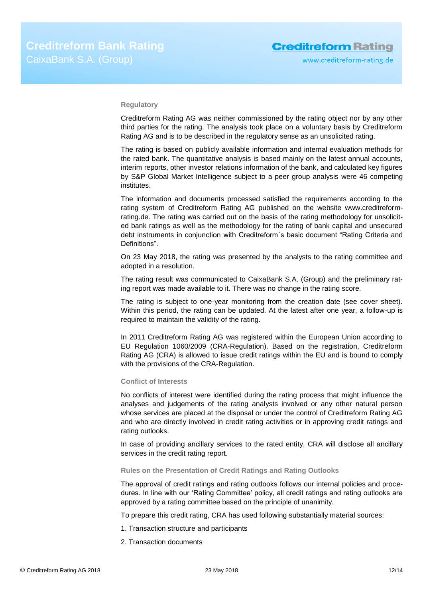### **Regulatory**

Creditreform Rating AG was neither commissioned by the rating object nor by any other third parties for the rating. The analysis took place on a voluntary basis by Creditreform Rating AG and is to be described in the regulatory sense as an unsolicited rating.

The rating is based on publicly available information and internal evaluation methods for the rated bank. The quantitative analysis is based mainly on the latest annual accounts, interim reports, other investor relations information of the bank, and calculated key figures by S&P Global Market Intelligence subject to a peer group analysis were 46 competing institutes.

The information and documents processed satisfied the requirements according to the rating system of Creditreform Rating AG published on the website www.creditreformrating.de. The rating was carried out on the basis of the rating methodology for unsolicited bank ratings as well as the methodology for the rating of bank capital and unsecured debt instruments in conjunction with Creditreform`s basic document "Rating Criteria and Definitions".

On 23 May 2018, the rating was presented by the analysts to the rating committee and adopted in a resolution.

The rating result was communicated to CaixaBank S.A. (Group) and the preliminary rating report was made available to it. There was no change in the rating score.

The rating is subject to one-year monitoring from the creation date (see cover sheet). Within this period, the rating can be updated. At the latest after one year, a follow-up is required to maintain the validity of the rating.

In 2011 Creditreform Rating AG was registered within the European Union according to EU Regulation 1060/2009 (CRA-Regulation). Based on the registration, Creditreform Rating AG (CRA) is allowed to issue credit ratings within the EU and is bound to comply with the provisions of the CRA-Regulation.

### **Conflict of Interests**

No conflicts of interest were identified during the rating process that might influence the analyses and judgements of the rating analysts involved or any other natural person whose services are placed at the disposal or under the control of Creditreform Rating AG and who are directly involved in credit rating activities or in approving credit ratings and rating outlooks.

In case of providing ancillary services to the rated entity, CRA will disclose all ancillary services in the credit rating report.

## **Rules on the Presentation of Credit Ratings and Rating Outlooks**

The approval of credit ratings and rating outlooks follows our internal policies and procedures. In line with our 'Rating Committee' policy, all credit ratings and rating outlooks are approved by a rating committee based on the principle of unanimity.

To prepare this credit rating, CRA has used following substantially material sources:

- 1. Transaction structure and participants
- 2. Transaction documents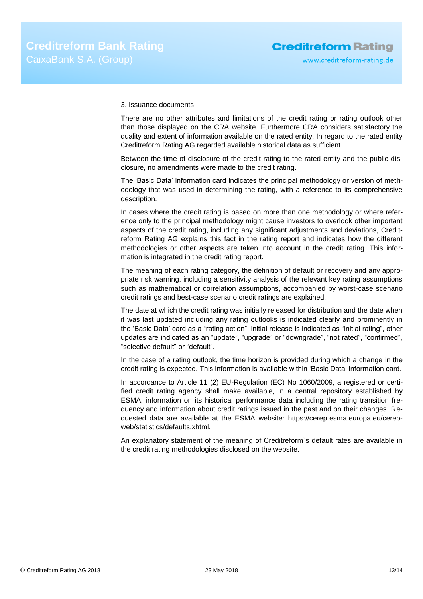### 3. Issuance documents

There are no other attributes and limitations of the credit rating or rating outlook other than those displayed on the CRA website. Furthermore CRA considers satisfactory the quality and extent of information available on the rated entity. In regard to the rated entity Creditreform Rating AG regarded available historical data as sufficient.

Between the time of disclosure of the credit rating to the rated entity and the public disclosure, no amendments were made to the credit rating.

The 'Basic Data' information card indicates the principal methodology or version of methodology that was used in determining the rating, with a reference to its comprehensive description.

In cases where the credit rating is based on more than one methodology or where reference only to the principal methodology might cause investors to overlook other important aspects of the credit rating, including any significant adjustments and deviations, Creditreform Rating AG explains this fact in the rating report and indicates how the different methodologies or other aspects are taken into account in the credit rating. This information is integrated in the credit rating report.

The meaning of each rating category, the definition of default or recovery and any appropriate risk warning, including a sensitivity analysis of the relevant key rating assumptions such as mathematical or correlation assumptions, accompanied by worst-case scenario credit ratings and best-case scenario credit ratings are explained.

The date at which the credit rating was initially released for distribution and the date when it was last updated including any rating outlooks is indicated clearly and prominently in the 'Basic Data' card as a "rating action"; initial release is indicated as "initial rating", other updates are indicated as an "update", "upgrade" or "downgrade", "not rated", "confirmed", "selective default" or "default".

In the case of a rating outlook, the time horizon is provided during which a change in the credit rating is expected. This information is available within 'Basic Data' information card.

In accordance to Article 11 (2) EU-Regulation (EC) No 1060/2009, a registered or certified credit rating agency shall make available, in a central repository established by ESMA, information on its historical performance data including the rating transition frequency and information about credit ratings issued in the past and on their changes. Requested data are available at the ESMA website: https://cerep.esma.europa.eu/cerepweb/statistics/defaults.xhtml.

An explanatory statement of the meaning of Creditreform`s default rates are available in the credit rating methodologies disclosed on the website.